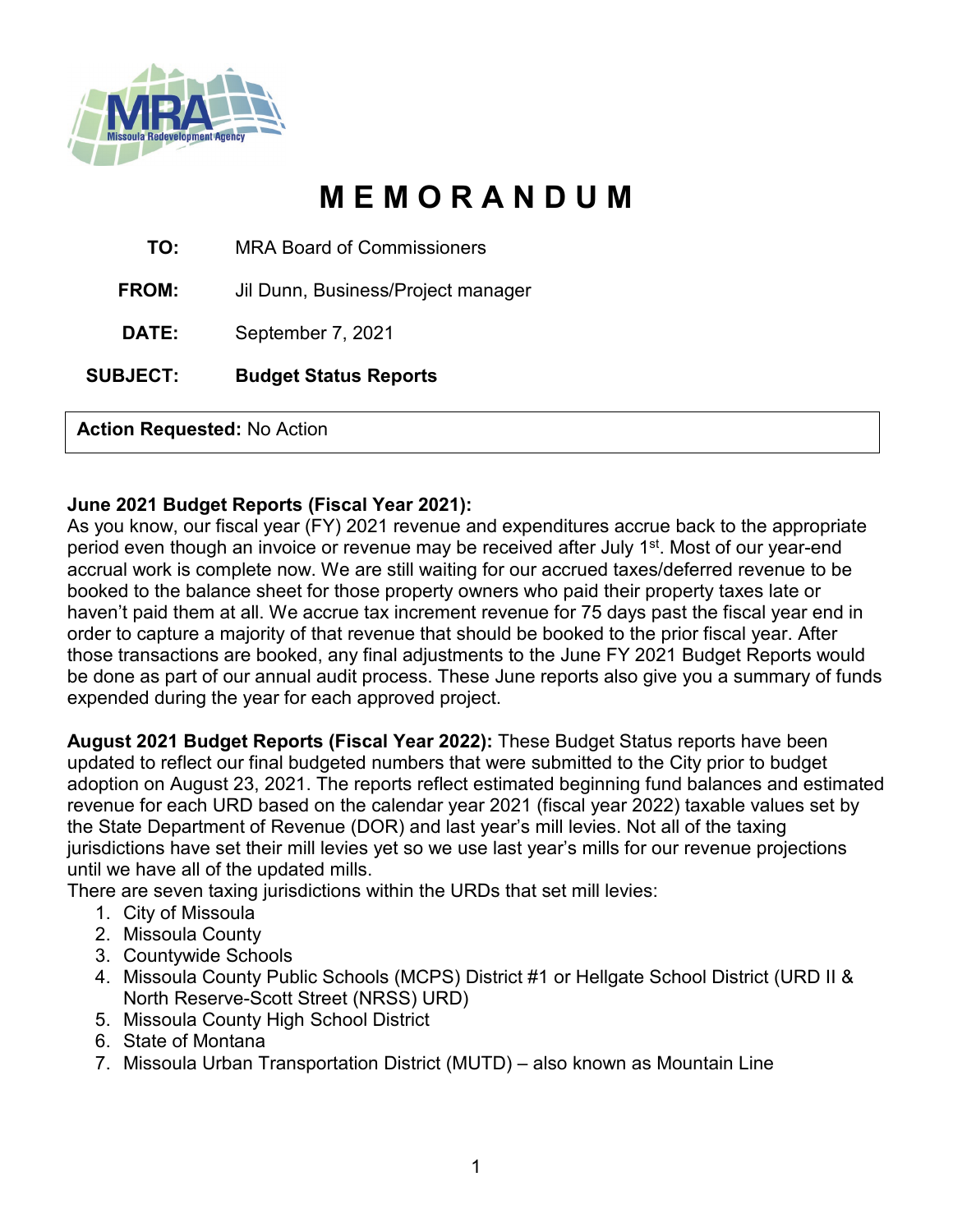

# **M E M O R A N D U M**

**TO:** MRA Board of Commissioners

**FROM:** Jil Dunn, Business/Project manager

**DATE:** September 7, 2021

**SUBJECT: Budget Status Reports**

**Action Requested:** No Action

#### **June 2021 Budget Reports (Fiscal Year 2021):**

As you know, our fiscal year (FY) 2021 revenue and expenditures accrue back to the appropriate period even though an invoice or revenue may be received after July 1<sup>st</sup>. Most of our year-end accrual work is complete now. We are still waiting for our accrued taxes/deferred revenue to be booked to the balance sheet for those property owners who paid their property taxes late or haven't paid them at all. We accrue tax increment revenue for 75 days past the fiscal year end in order to capture a majority of that revenue that should be booked to the prior fiscal year. After those transactions are booked, any final adjustments to the June FY 2021 Budget Reports would be done as part of our annual audit process. These June reports also give you a summary of funds expended during the year for each approved project.

**August 2021 Budget Reports (Fiscal Year 2022):** These Budget Status reports have been updated to reflect our final budgeted numbers that were submitted to the City prior to budget adoption on August 23, 2021. The reports reflect estimated beginning fund balances and estimated revenue for each URD based on the calendar year 2021 (fiscal year 2022) taxable values set by the State Department of Revenue (DOR) and last year's mill levies. Not all of the taxing jurisdictions have set their mill levies yet so we use last year's mills for our revenue projections until we have all of the updated mills.

There are seven taxing jurisdictions within the URDs that set mill levies:

- 1. City of Missoula
- 2. Missoula County
- 3. Countywide Schools
- 4. Missoula County Public Schools (MCPS) District #1 or Hellgate School District (URD II & North Reserve-Scott Street (NRSS) URD)
- 5. Missoula County High School District
- 6. State of Montana
- 7. Missoula Urban Transportation District (MUTD) also known as Mountain Line